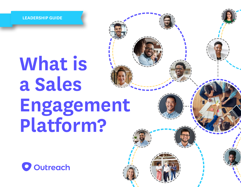**LEADERSHIP GUIDE**

# **What is a Sales Engagement Platform?**

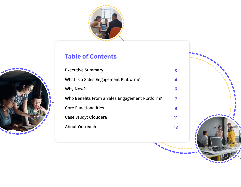

## **Table of Contents**

| <b>Executive Summary</b>                       |
|------------------------------------------------|
| What is a Sales Engagement Platform?           |
| Why Now?                                       |
| Who Benefits From a Sales Engagement Platform? |
| Core Functionalities                           |
| Case Study: Cloudera                           |
| About Outreach                                 |





**3**

**4**

**6**

**7**

**9**

**11**

**13**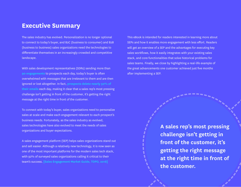## **Executive Summary**

The sales industry has evolved. Personalization is no longer optional to connect to today's buyer, and B2C (business to consumer) and B2B (business to business) sales organizations need the technologies to differentiate themselves in an increasingly crowded and competitive landscape.

With sales development representatives (SDRs) sending more than **[90 engagements](https://blog.hubspot.com/sales/sales-statistics)** to prospects each day, today's buyer is often overwhelmed with messages that are irrelevant to them and are then ignored or lost altogether. In fact, **[prospects delete nearly 50% of](https://mashable.com/2012/02/09/boomerang-email-infographic/#tiJF183wYqqP)  [their emails](https://mashable.com/2012/02/09/boomerang-email-infographic/#tiJF183wYqqP)** each day, making it clear that a sales rep's most pressing challenge isn't getting in front of the customer, it's getting the right message at the right time in front of the customer.

To connect with today's buyer, sales organizations need to personalize sales at scale and make each engagement relevant to each prospect's business needs. Fortunately, as the sales industry as evolved, sales technologies have also evolved to meet the needs of sales organizations and buyer expectations.

A sales engagement platform (SEP) helps sales organizations stand out and sell easier. Although a relatively new technology, it is now seen as one of the most important platforms for the modern sales tech stack, with 92% of surveyed sales organizations calling it critical to their team's success. **[\[Sales Engagement Market Guide, TOPO, 2018\]](https://www.outreach.io/lp/topo-sales-engagement-market-guide)**

This eBook is intended for readers interested in learning more about SEPs and how it enables more engagement with less effort. Readers will get an overview of a SEP and the advantages for executing key sales workflows, how it easily integrates with your existing sales stack, and core functionalities that solve historical problems for sales teams. Finally, we close by highlighting a real-life example of the great advancements one customer achieved just five months after implementing a SEP.

> **A sales rep's most pressing challenge isn't getting in front of the customer, it's getting the right message at the right time in front of the customer.**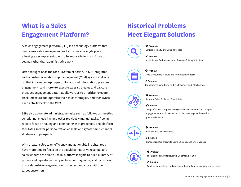## **What is a Sales Engagement Platform?**

A sales engagement platform (SEP) is a technology platform that centralizes sales engagement and activities in a single place, allowing sales representatives to be more efficient and focus on selling rather than administrative work.

Often thought of as the rep's "system of action," a SEP integrates with a customer relationship management (CRM) system and acts on that information--prospect info, account information, previous engagement, and more--to execute sales strategies and capture prospect engagement data that allows reps to prioritize, execute, track, measure and optimize their sales strategies, and then syncs each activity back to the CRM.

SEPs also automate administrative tasks such as follow-ups, meeting scheduling, check-ins, and other previously manual tasks, freeing reps to focus on selling and connecting with prospects. The platform facilitates greater personalization at scale and greater multichannel strategies to prospects.

With greater sales team efficiency and actionable insights, reps have more time to focus on the activities that drive revenue, and sales leaders are able to use in-platform insights to build a library of proven and repeatable best practices, or playbooks, and transform into a data-driven organization to connect and close with their target customers.

## **Historical Problems Meet Elegant Solutions**



*Problem* Limited Visibility into Selling Process

#### *Solution*

Visibility into Performance and Revenue-Driving Activities



#### *Problem*

Time-Consuming Manual and Administrative Tasks

#### *Solution*

Standardized Workflows to Drive Efficiency and Effectiveness



#### *Problem*

Separate Sales Tools and Siloed Data

#### *Solution*

One platform to complete and sync all sales activities and prospect engagements: email, text, voice, social, meetings, and more for greater efficiency

#### *Problem*

Inconsistent Sales Processes

#### *Solution*

Standardized Workflows to Drive Efficiency and Effectiveness

#### *Problem*

Misalignment Across Revenue-Generating Teams

#### *Solution*

Tracking across leads and consistent handoff and messaging across teams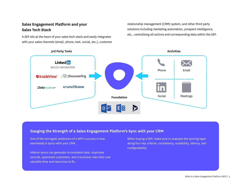#### **Sales Engagement Platform and your Sales Tech Stack**

A SEP sits at the heart of your sales tech stack and easily integrates with your sales channels (email, phone, text, social, etc.), customer

relationship management (CRM) system, and other third party solutions including marketing automation, prospect intelligence, etc., centralizing all actions and corresponding data within the SEP.



#### **Gauging the Strength of a Sales Engagement Platform's Sync with your CRM**

One of the strongest predictors of a SEP's success is how seamlessly it syncs with your CRM.

Inferior syncs can generate inconsistent data, duplicate records, spammed customers, and a business risks that cost valuable time and resources to fix.

When buying a SEP, make sure to evaluate the syncing layer along four key criteria: consistency, scalability, latency, and configurability.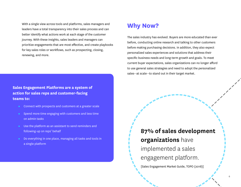With a single view across tools and platforms, sales managers and leaders have a total transparency into their sales process and can better identify what actions work at each stage of the customer journey. With these insights, sales leaders and managers can prioritize engagements that are most effective, and create playbooks for key sales roles or workflows, such as prospecting, closing, renewing, and more.

#### **Sales Engagement Platforms are a system of action for sales reps and customer-facing teams to:**

- Connect with prospects and customers at a greater scale
- Spend more time engaging with customers and less time on admin tasks
- Use the platform as an assistant to send reminders and following-up on reps' behalf
- Do everything in one place, managing all tasks and tools in a single platform

## **Why Now?**

The sales industry has evolved. Buyers are more educated than ever before, conducting online research and talking to other customers before making purchasing decisions. In addition, they also expect personalized sales experiences and solutions that address their specific business needs and long-term growth and goals. To meet current buyer expectations, sales organizations can no longer afford to use general sales strategies and need to adopt the personalized sales--at scale--to stand out in their target market.

> **87% of sales development organizations** have implemented a sales engagement platform.

[Sales Engagement Market Guide, TOPO (2018)]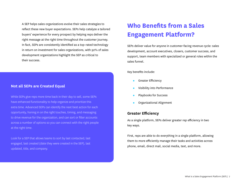A SEP helps sales organizations evolve their sales strategies to reflect these new buyer expectations. SEPs help catalyze a tailored buyers' experience for every prospect by helping reps deliver the right message at the right time throughout the customer journey. In fact, SEPs are consistently identified as a top-rated technology in return on investment for sales organizations, with 92% of sales development organizations highlight the SEP as critical to their success.

#### **Not all SEPs are Created Equal**

While SEPs give reps more time back in their day to sell, some SEPs have enhanced functionality to help organize and prioritize this extra time. Advanced SEPs can identify the next best action for each opportunity, honing in on the right touches, timing, and messaging to drive revenue for the organization, and can sort or filter accounts across a number of options so you can connect with the right people at the right time.

Look for a SEP that allows teams to sort by last contacted, last engaged, last created (date they were created in the SEP), last updated, title, and company.

## **Who Benefits from a Sales Engagement Platform?**

SEPs deliver value for anyone in customer-facing revenue cycle: sales development, account executives, closers, customer success, and support, team members with specialized or general roles within the sales funnel.

Key benefits include:

- **•** Greater Efficiency
- Visibility into Performance
- Playbooks for Success
- Organizational Alignment

#### **Greater Efficiency**

As a single platform, SEPs deliver greater rep efficiency in two key ways.

First, reps are able to do everything in a single platform, allowing them to more efficiently manage their tasks and activities across phone, email, direct mail, social media, text, and more.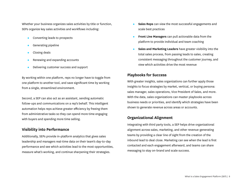Whether your business organizes sales activities by title or function, SEPs organize key sales activities and workflows including:

- Converting leads to prospects
- Generating pipeline
- Closing deals
- Renewing and expanding accounts
- Delivering customer success and support

By working within one platform, reps no longer have to toggle from one platform to another tool, and save significant time by working from a single, streamlined environment.

Second, a SEP can also act as an assistant, sending automatic follow-ups and communications on a rep's behalf. This intelligent automation helps reps achieve greater efficiency by freeing them from administrative tasks so they can spend more time engaging with buyers and spending more time selling.

#### **Visibility into Performance**

Additionally, SEPs provide in-platform analytics that gives sales leadership and managers real-time data on their team's day-to-day performance and see which activities lead to the most opportunities, measure what's working, and continue sharpening their strategies.

- **Sales Reps** can view the most successful engagements and scale best practices
- **Front Line Managers** can pull actionable data from the platform to provide individual and team coaching
- **Sales and Marketing Leaders** have greater visibility into the total sales process, from passing leads to sales, creating consistent messaging throughout the customer journey, and view which activities drive the most revenue

#### **Playbooks for Success**

With greater insights, sales organizations can further apply those insights to focus strategies by market, vertical, or buying persona: sales manager, sales operations, Vice President of Sales, and more. With the data, sales organizations can master playbooks across business needs or priorities, and identify which strategies have been shown to generate revenue across areas or accounts.

#### **Organizational Alignment**

Integrating with third party tools, a SEP helps drive organizational alignment across sales, marketing, and other revenue-generating teams by providing a clear line of sight from the creation of the inbound lead to deal close. Marketing can see when the lead is first contacted and each engagement afterward, and teams can share messaging to stay on-brand and scale success.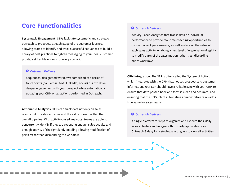## **Core Functionalities**

**Systematic Engagement:** SEPs facilitate systematic and strategic outreach to prospects at each stage of the customer journey, allowing teams to identify and track successful sequences to build a library of best practices to tighten messaging to your ideal customer profile, yet flexible enough for every scenario.

#### *Outreach Delivers*

Sequences, designated workflows comprised of a series of touchpoints (call, email, text, LinkedIn, social) built to drive deeper engagement with your prospect while automatically updating your CRM on all actions performed in Outreach.

**Actionable Analytics:** SEPs can track data not only on sales results but on sales activities and the value of each within the overall pipeline. With activity-based analytics, teams are able to concurrently identify if they are executing enough sales activity and enough activity of the right kind, enabling allowing modification of parts rather than dismantling the workflow.

#### *Outreach Delivers*

Activity-Based Analytics that tracks data on individual performance to provide real-time coaching opportunities to course-correct performance, as well as data on the value of each sales activity, enabling a new level of organizational agility to modify parts of the sales motion rather than discarding entire workflows.

**CRM Integration:** The SEP is often called the System of Action, which integrates with the CRM that houses prospect and customer information. Your SEP should have a reliable sync with your CRM to ensure that data passed back and forth is clean and accurate, and ensuring that the SEPs job of automating administrative tasks adds true value for sales teams.

#### *Outreach Delivers*

A single platform for reps to organize and execute their daily sales activities and integrate third-party applications via Outreach Galaxy for a single pane of glass to view all activities.

What is a Sales Engagement Platform (SEP) | 9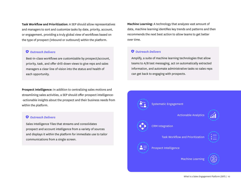**Task Workflow and Prioritization:** A SEP should allow representatives and managers to sort and customize tasks by date, priority, account, or engagement, providing a truly global view of workflows based on the type of prospect (inbound or outbound) within the platform.

#### *Outreach Delivers*

Best-in-class workflows are customizable by prospect/account, priority, task, and offer drill-down views to give reps and sales managers a clear line of vision into the status and health of each opportunity.

**Prospect Intelligence:** In addition to centralizing sales motions and streamlining sales activities, a SEP should offer prospect intelligence- -actionable insights about the prospect and their business needs from within the platform.

#### *Outreach Delivers*

Sales Intelligence Tiles that streams and consolidates prospect and account intelligence from a variety of sources and displays it within the platform for immediate use to tailor communications from a single screen.

**Machine Learning:** A technology that analyzes vast amount of data, machine learning identifies key trends and patterns and then recommends the next best action to allow teams to get better over time.

#### *Outreach Delivers*

Amplify, a suite of machine learning technologies that allow teams to A/B test messaging, act on automatically extracted information, and automate administrative tasks so sales reps can get back to engaging with prospects.

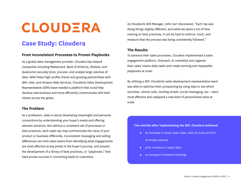## **CLOUDERA**

## **Case Study: Cloudera**

#### **From Inconsistent Processes to Proven Playbooks**

As a global data management provider, Cloudera has helped companies including Mastercard, Bank of America, Allstate, and Qualcomm securely store, process, and analyze large volumes of data. With these high-profile clients and growing partnerships with IBM, Intel, and Amazon Web Services, Cloudera's Sales Development Representative (SDR) team needed a platform that could help develop new business and more efficiently communicate with their clients across the globe.

#### **The Problem**

As a profession, sales is about developing meaningful and personal connections by understanding your buyer's needs and offering relevant solutions. But without a consistent set of processes or best practices, each sales rep may communicate the value of your product or business differently. Inconsistent messaging and selling differences can limit sales teams from identifying what engagements are most effective at key points in the buyer's journey, and prevent the development of a library of best practices, or "playbooks," that have proven success in converting leads to customers.

As Cloudera's SDR Manager, John Carr discovered, "Each rep was doing things slightly different, and while we spent a lot of time training on best practices, it can be hard to enforce, track, and measure that the process was being consistently followed."

#### **The Results**

To advance their sales processes, Cloudera implemented a sales engagement platform, Outreach, to centralize and organize their sales' teams daily tasks and create winning and repeatable playbooks at scale.

By utilizing a SEP, Cloudera's sales development representative team was able to optimize their prospecting by using data to see which activities--phone calls, sending emails, social messaging, etc.--were most effective and catalyzed a new level of personalized sales at scale.

#### **Five months after implementing the SEP, Cloudera achieved:**

- 6x increase in email open rates, with as many as 60% of emails opened
- 30% increase in reply rates
- 2x increase in booked meetings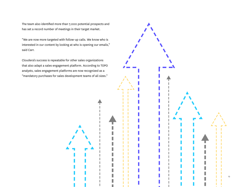The team also identified more than 7,000 potential prospects and has set a record number of meetings in their target market.

"We are now more targeted with follow-up calls. We know who is interested in our content by looking at who is opening our emails," said Carr.

Cloudera's success is repeatable for other sales organizations that also adapt a sales engagement platform. According to TOPO analysts, sales engagement platforms are now recognized as a "mandatory purchases for sales development teams of all sizes."